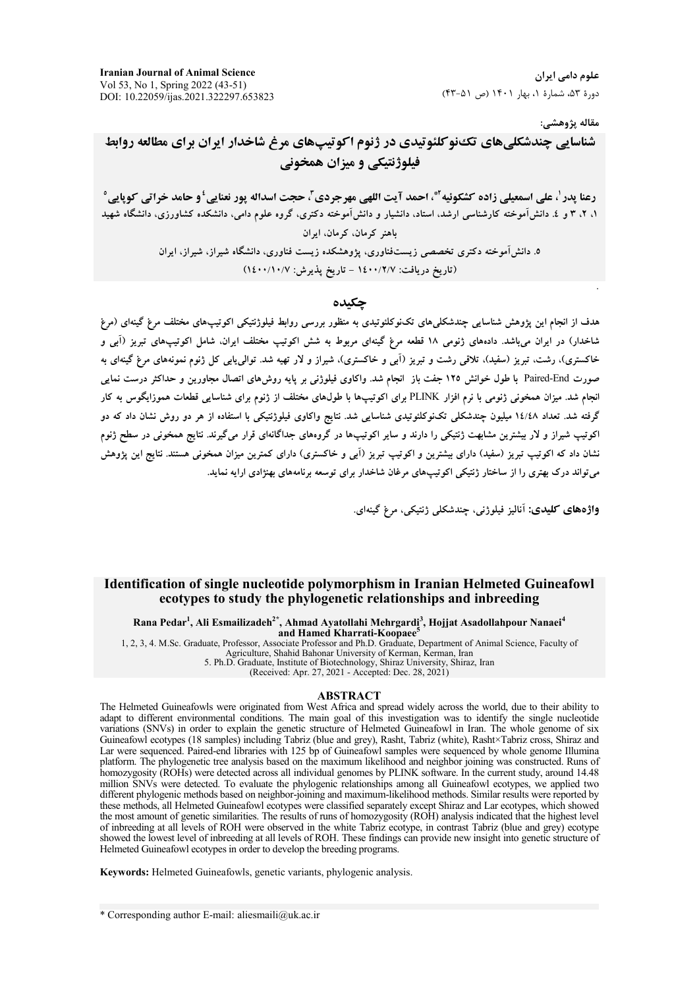**Iranian Journal of Animal Science** Vol 53, No 1, Spring 2022 (43-51) DOI: 10.22059/ijas.2021.322297.653823

علوم دامی ایران دورهٔ ۵۳، شمارهٔ ۱، بهار ۱۴۰۱ (ص ۵۱-۴۳)

مقاله پژوهشي:

شناسایی چندشکلی های تک نو کلئوتیدی در ژنوم اکوتیپهای مرغ شاخدار ایران برای مطالعه روابط فيلوژنتيكي و ميزان همخوني

رعنا يدر <sup>ل</sup>، على اسمعيلي زاده كشكوئيه <sup>1</sup>ٌ، احمد آيت اللهي مهرجردي <sup>7</sup>، حجت اسداله پور نعنايي 'و حامد خراتي كوپايي <sup>0</sup> ۱، ۲، ۳ و ٤. دانش آموخته کارشناسی ارشد، استاد، دانشیار و دانش آموخته دکتری، گروه علوم دامی، دانشکده کشاورزی، دانشگاه شهید باهنر کرمان، کرمان، ایران ۵. دانش آموخته دکتری تخصصی زیستفناوری، یژوهشکده زیست فناوری، دانشگاه شیراز، شیراز، ایران

(تاريخ دريافت: ١٤٠٠/٢/٧ - تاريخ پذيرش: ١٤٠٠/١٠/٧)

چکىدە

هدف از انجام این پژوهش شناسایی چندشکلیهای تکنوکلئوتیدی به منظور بررسی روابط فیلوژنتیکی اکوتیپهای مختلف مرغ گینهای (مرغ شاخدار) در ایران میباشد. دادههای ژنومی ۱۸ قطعه مرغ گینهای مربوط به شش اکوتیپ مختلف ایران، شامل اکوتیپهای تبریز (آبی و خاکستری)، رشت، تبریز (سفید)، تلاقی رشت و تبریز (آبی و خاکستری)، شیراز و لار تهیه شد. توالی پایی کل ژنوم نمونههای مرغ گینهای به صورت Paired-End با طول خوانش ۱۲۵ جفت باز انجام شد. واکاوی فیلوژنی بر پایه روش۵ای اتصال مجاورین و حداکثر درست نمایی انجام شد. میزان همخونی ژنومی با نرم افزار PLINK برای اکوتیپها با طولهای مختلف از ژنوم برای شناسایی قطعات هموزایگوس به کار گرفته شد. تعداد ۱٤/٤٨ میلیون چندشکلی تکنوکلئوتیدی شناسایی شد. نتایج واکاوی فیلوژنتیکی با استفاده از هر دو روش نشان داد که دو اکوتیپ شیراز و لار بیشترین مشابهت ژنتیکی را دارند و سایر اکوتیپها در گروههای جداگانهای قرار میگیرند. نتایج همخونی در سطح ژنوم نشان داد که اکوتیپ تبریز (سفید) دارای بیشترین و اکوتیپ تبریز (اَبی و خاکستری) دارای کمترین میزان همخونی هستند. نتایج این پژوهش می تواند درک بهتری را از ساختار ژنتیکی اکوتیپهای مرغان شاخدار برای توسعه برنامههای بهنژادی ارایه نماید.

واژەهاي كليدى: آناليز فيلوژني، چندشكلى ژنتيكى، مرغ گينەاي.

### Identification of single nucleotide polymorphism in Iranian Helmeted Guineafowl ecotypes to study the phylogenetic relationships and inbreeding

Rana Pedar<sup>1</sup>, Ali Esmailizadeh<sup>2\*</sup>, Ahmad Ayatollahi Mehrgardi<sup>3</sup>, Hojjat Asadollahpour Nanaei<sup>4</sup> and Hamed Kharrati-Koopaee<sup>5</sup>

1, 2, 3, 4. M.Sc. Graduate, Professor, Associate Professor and Ph.D. Graduate, Department of Animal Science, Faculty of Agriculture, Shahid Bahonar University of Kerman, Kerman, Iran<br>5. Ph.D. Graduate, Institute of Biotechnology, Shiraz University, Shiraz, Iran

(Received: Apr. 27, 2021 - Accepted: Dec. 28, 2021)

### **ABSTRACT**

The Helmeted Guineafowls were originated from West Africa and spread widely across the world, due to their ability to adapt to different environmental conditions. The main goal of this investigation was to identify the single nucleotide variations (SNVs) in order to explain the genetic structure of Helmeted Guineafowl in Iran. The whole genome of six Guineafowl ecotypes (18 samples) including Tabriz (blue and grey), Rasht, Tabriz (white), Rasht×Tabriz cross, Shiraz and Lar were sequenced. Paired-end libraries with 125 bp of Guineafowl samples were sequenced by whole genome Illumina platform. The phylogenetic tree analysis based on the maximum likelihood and neighbor joining was constructed. Runs of homozygosity (ROHs) were detected across all individual genomes by PLINK software. In the current study, around 14.48 million SNVs were detected. To evaluate the phylogenic relationships among all Guineafowl ecotypes, we applied two different phylogenic methods based on neighbor-joining and maximum-likelihood methods. Similar results were reported by these methods, all Helmeted Guineafowl ecotypes were classified separately except Shiraz and Lar ecotypes, which showed the most amount of genetic similarities. The results of runs of homozygosity (ROH) analysis indicated that the highest level of inbreeding at all levels of ROH were observed in the white Tabriz ecotype, in contrast Tabriz (blue and grey) ecotype showed the lowest level of inbreeding at all levels of ROH. These findings can provide new insight into genetic structure of Helmeted Guineafowl ecotypes in order to develop the breeding programs.

Keywords: Helmeted Guineafowls, genetic variants, phylogenic analysis.

\* Corresponding author E-mail: aliesmaili@uk.ac.ir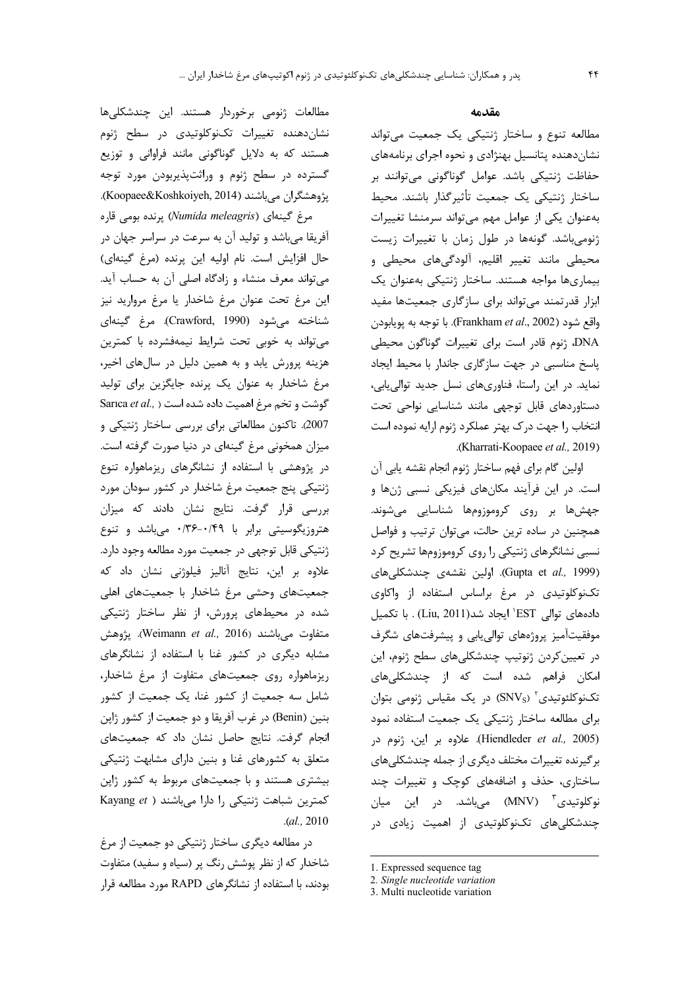مطالعات ژنومی برخوردار هستند. این چندشکلیها نشاندهنده تغییرات تکنوکلوتیدی در سطح ژنوم هستند که به دلایل گوناگونی مانند فراوانی و توزیع گسترده در سطح ژنوم و وراثتپذیربودن مورد توجه پژوهشگران میباشند (Koopaee&Koshkoiyeh, 2014).

مرغ گینهای (Numida meleagris) پرنده بومی قاره آفريقا مي باشد و توليد آن به سرعت در سراسر جهان در حال افزايش است. نام اوليه اين پرنده (مرغ گينهاي) می تواند معرف منشاء و زادگاه اصلی آن به حساب آید. این مرغ تحت عنوان مرغ شاخدار یا مرغ مروارید نیز شناخته میشود (Crawford, 1990). مرغ گینهای می تواند به خوبی تحت شرایط نیمهفشرده با کمترین هزینه پرورش یابد و به همین دلیل در سالهای اخیر، مرغ شاخدار به عنوان یک پرنده جایگزین برای تولید Sarica et al., ) كوشت و اهميت داده شده است ( Sarica et al., 2007). تاكنون مطالعاتي براي بررسي ساختار ژنتيكي و میزان همخونی مرغ گینهای در دنیا صورت گرفته است. در پژوهشی با استفاده از نشانگرهای ریزماهواره تنوع ژنتیکی پنج جمعیت مرغ شاخدار در کشور سودان مورد بررسی قرار گرفت. نتایج نشان دادند که میزان هتروزیگوسیتی برابر با ۰/۳۶-۰/۴۹ میباشد و تنوع ژنتیکی قابل توجهی در جمعیت مورد مطالعه وجود دارد. علاوه بر این، نتایج آنالیز فیلوژنی نشان داد که جمعیتهای وحشی مرغ شاخدار با جمعیتهای اهلی شده در محیطهای پرورش، از نظر ساختار ژنتیکی متفاوت مىباشند (Weimann et al., 2016). پژوهش مشابه دیگری در کشور غنا با استفاده از نشانگرهای ریزماهواره روی جمعیتهای متفاوت از مرغ شاخدار، شامل سه جمعیت از کشور غنا، یک جمعیت از کشور بنين (Benin) در غرب آفريقا و دو جمعيت از كشور ژاپن انجام گرفت. نتایج حاصل نشان داد که جمعیتهای متعلق به کشورهای غنا و بنین دارای مشابهت ژنتیکی بیشتری هستند و با جمعیتهای مربوط به کشور ژاپن Kayang et ) كمترين شباهت ژنتيكى را دارا مى باشند  $. (al., 2010)$ 

در مطالعه دیگری ساختار ژنتیکی دو جمعیت از مرغ شاخدار که از نظر پوشش رنگ پر (سیاه و سفید) متفاوت بودند، با استفاده از نشانگرهای RAPD مورد مطالعه قرار

### مقدمه

مطالعه تنوع و ساختار ژنتیکی یک جمعیت می تواند نشان دهنده پتانسیل بهنژادی و نحوه اجرای برنامههای حفاظت ژنتیکی باشد. عوامل گوناگونی می توانند بر ساختار ژنتيكي يک جمعيت تأثيرگذار باشند. محيط بهعنوان یکی از عوامل مهم می تواند سرمنشا تغییرات ژنومی باشد. گونهها در طول زمان با تغییرات زیست محیطی مانند تغییر اقلیم، آلودگیهای محیطی و بیماریها مواجه هستند. ساختار ژنتیکی بهعنوان یک ابزار قدرتمند می تواند برای سازگاری جمعیتها مفید واقع شود (Frankham et al., 2002). با توجه به پويابودن DNA، ژنوم قادر است برای تغییرات گوناگون محیطی یاسخ مناسبی در جهت سازگاری جاندار با محیط ایجاد نماید. در این راستا، فناوریهای نسل جدید توالی یابی، دستاوردهای قابل توجهی مانند شناسایی نواحی تحت انتخاب را جهت درک بهتر عملکرد ژنوم ارايه نموده است .(Kharrati-Koopaee et al., 2019).

اولین گام برای فهم ساختار ژنوم انجام نقشه پابی آن است. در این فرآیند مکانهای فیزیکی نسبی ژنها و جهشها بر روی کروموزومها شناسایی میشوند. همچنین در ساده ترین حالت، میتوان ترتیب و فواصل نسبی نشانگرهای ژنتیکی را روی کروموزومها تشریح کرد (Gupta et al., 1999). اولین نقشهی چندشکلیهای تکنوکلوتیدی در مرغ براساس استفاده از واکاوی دادههای توالی EST' ایجاد شد(Liu, 2011) . با تکمیل موفقیتآمیز پروژههای توالی یابی و پیشرفتهای شگرف در تعیین کردن ژنوتیپ چندشکلیهای سطح ژنوم، این امکان فراهم شده است که از چندشکلیهای تکنوکلئوتیدی (SNVs) در یک مقیاس ژنومی بتوان برای مطالعه ساختار ژنتیکی یک جمعیت استفاده نمود (Hiendleder et al., 2005). علاوه بر اين، ژنوم در برگیرنده تغییرات مختلف دیگری از جمله چندشکلیهای ساختاری، حذف و اضافههای کوچک و تغییرات چند نوکلوتیدی ؓ (MNV) مے باشد. در این میان چندشکلی های تکنوکلوتیدی از اهمیت زیادی در

<sup>1.</sup> Expressed sequence tag

<sup>2.</sup> Single nucleotide variation

<sup>3.</sup> Multi nucleotide variation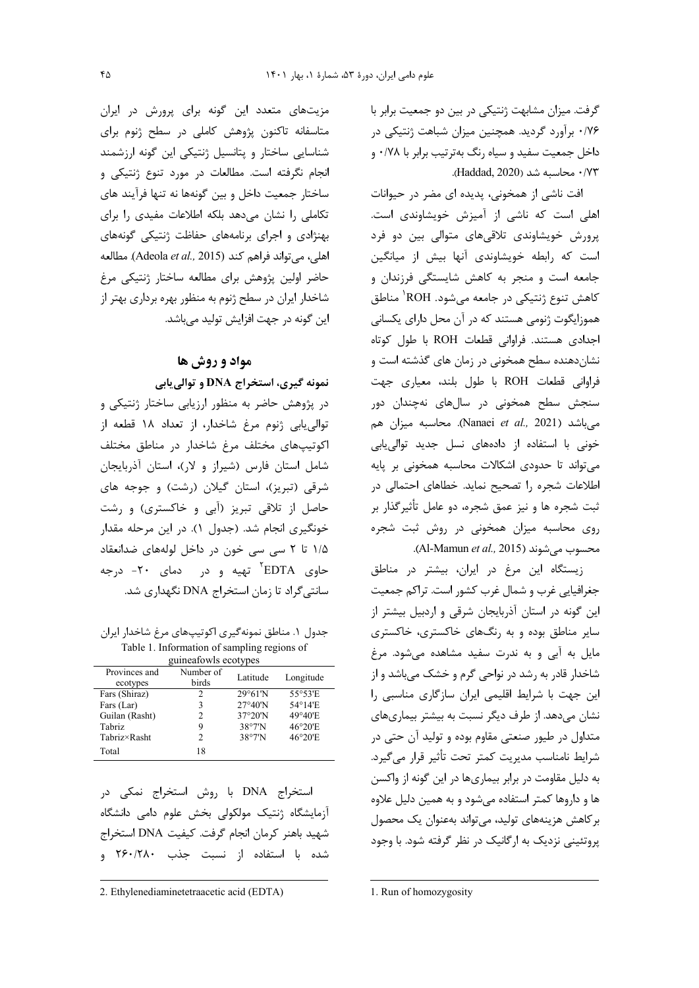گرفت. میزان مشابهت ژنتیکی در بین دو جمعیت برابر با ۰/۷۶ برآورد گردید. همچنین میزان شباهت ژنتیکی در داخل جمعیت سفید و سیاه رنگ بهترتیب برابر با ۰/۷۸ و ۰/۲۳ محاسبه شد (Haddad, 2020).

افت ناشی از همخونی، پدیده ای مضر در حیوانات اهلی است که ناشی از آمیزش خویشاوندی است. پرورش خویشاوندی تلاقیهای متوالی بین دو فرد است که رابطه خویشاوندی آنها بیش از میانگین جامعه است و منجر به کاهش شایستگی فرزندان و كاهش تنوع ژنتيكي در جامعه ميشود. ROH<sup>'</sup> مناطق هموزایگوت ژنومی هستند که در آن محل دارای یکسانی اجدادی هستند. فراوانی قطعات ROH با طول کوتاه نشاندهنده سطح همخونی در زمان های گذشته است و فراوانی قطعات ROH با طول بلند، معیاری جهت سنجش سطح همخونی در سالهای نهچندان دور میباشد (Nanaei et al., 2021). محاسبه میزان هم خونی با استفاده از دادههای نسل جدید توالی،بابی می تواند تا حدودی اشکالات محاسبه همخونی بر پایه اطلاعات شجره را تصحیح نماید. خطاهای احتمالی در ثبت شجره ها و نیز عمق شجره، دو عامل تأثیرگذار بر روی محاسبه میزان همخونی در روش ثبت شجره محسوب می شوند (Al-Mamun et al., 2015).

زيستگاه اين مرغ در ايران، بيشتر در مناطق جغرافیایی غرب و شمال غرب کشور است. تراکم جمعیت این گونه در استان آذربایجان شرقی و اردبیل بیشتر از سایر مناطق بوده و به رنگهای خاکستری، خاکستری مایل به آبی و به ندرت سفید مشاهده میشود. مرغ شاخدار قادر به رشد در نواحی گرم و خشک میباشد و از این جهت با شرایط اقلیمی ایران سازگاری مناسبی را نشان میدهد. از طرف دیگر نسبت به بیشتر بیماریهای متداول در طیور صنعتی مقاوم بوده و تولید آن حتی در شرايط نامناسب مديريت كمتر تحت تأثير قرار مى گيرد. به دلیل مقاومت در برابر بیماریها در این گونه از واکسن ها و داروها کمتر استفاده می شود و به همین دلیل علاوه بر كاهش هزينههاي توليد، مي تواند بهعنوان يک محصول یروتئینی نزدیک به ارگانیک در نظر گرفته شود. با وجود

1. Run of homozygosity

مزیتهای متعدد این گونه برای پرورش در ایران متاسفانه تاکنون پژوهش کاملی در سطح ژنوم برای شناسایی ساختار و پتانسیل ژنتیکی این گونه ارزشمند انجام نگرفته است. مطالعات در مورد تنوع ژنتیکی و ساختار جمعیت داخل و بین گونهها نه تنها فرآیند های تکاملی را نشان می دهد بلکه اطلاعات مفیدی را برای بهنژادی و اجرای برنامههای حفاظت ژنتیکی گونههای اهلي، مي تواند فراهم كند (Adeola et al., 2015). مطالعه حاضر اولین پژوهش برای مطالعه ساختار ژنتیکی مرغ شاخدار ایران در سطح ژنوم به منظور بهره برداری بهتر از این گونه در جهت افزایش تولید میباشد.

# مواد و روش ها نمونه گیری، استخراج DNA و توالی یابی

در پژوهش حاضر به منظور ارزیابی ساختار ژنتیکی و توالي يابي ژنوم مرغ شاخدار، از تعداد ١٨ قطعه از اکوتیپهای مختلف مرغ شاخدار در مناطق مختلف شامل استان فارس (شیراز و لار)، استان آذربایجان شرقی (تبریز)، استان گیلان (رشت) و جوجه های حاصل از تلاقی تبریز (آبی و خاکستری) و رشت خونگیری انجام شد. (جدول ۱). در این مرحله مقدار ۱/۵ تا ۲ سی سی خون در داخل لولههای ضدانعقاد حاوی EDTA<sup>۲</sup> تهیه و در دمای ۲۰- درجه سانتی گراد تا زمان استخراج DNA نگهداری شد.

جدول ۱. مناطق نمونهگیری اکوتیپهای مرغ شاخدار ایران Table 1. Information of sampling regions of

| guilleatuwis ecotypes |                |                   |           |  |  |
|-----------------------|----------------|-------------------|-----------|--|--|
| Provinces and         | Number of      | Latitude          | Longitude |  |  |
| ecotypes              | birds          |                   |           |  |  |
| Fars (Shiraz)         | 2              | $29^{\circ}61'$ N | 55°53'E   |  |  |
| Fars (Lar)            | 3              | $27°40'$ N        | 54°14'E   |  |  |
| Guilan (Rasht)        | $\mathfrak{D}$ | $37°20'$ N        | 49°40'E   |  |  |
| <b>Tabriz</b>         | 9              | 38°7'N            | 46°20'E   |  |  |
| Tabriz×Rasht          | $\mathfrak{D}$ | 38°7'N            | 46°20'E   |  |  |
| Total                 | 18             |                   |           |  |  |

استخراج DNA با روش استخراج نمکی در آزمایشگاه ژنتیک مولکولی بخش علوم دامی دانشگاه شهيد باهنر كرمان انجام گرفت. كيفيت DNA استخراج شده با استفاده از نسبت جذب ۲۶۰/۲۸۰ و

2. Ethylenediaminetetraacetic acid (EDTA)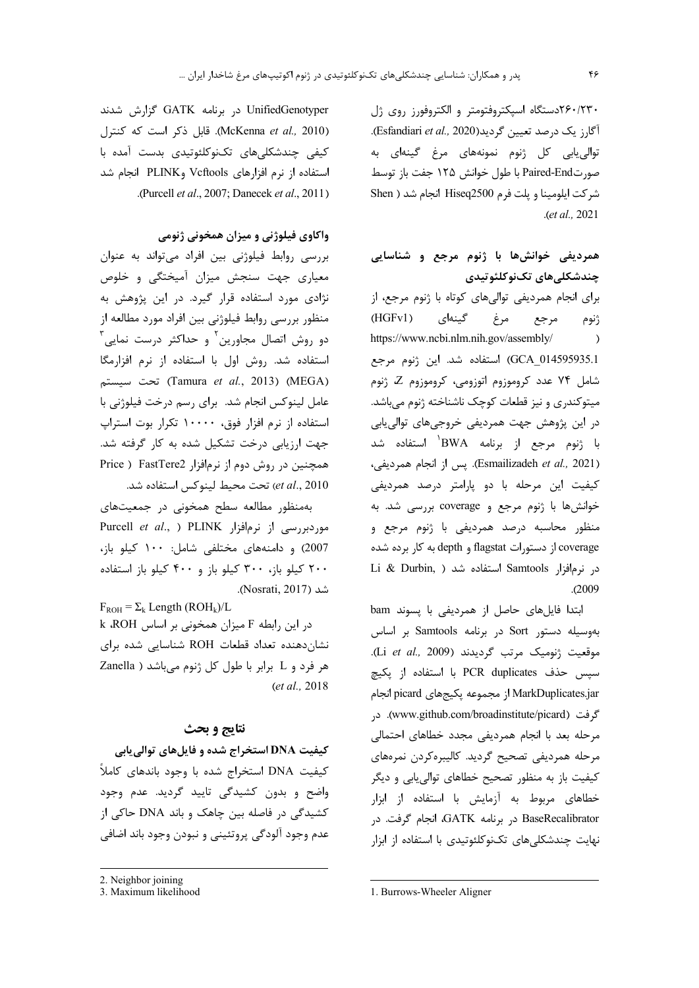۲۶۰/۲۳۰دستگاه اسیکتروفتومتر و الکتروفورز روی ژل آگارز یک درصد تعیین گردید(Esfandiari *et al.,* 2020). توالی یابی کل ژنوم نمونههای مرغ گینهای به صورتPaired-End با طول خوانش ۱۲۵ جفت باز توسط شركت ايلومينا و يلت فرم Hiseq2500 انجام شد ( Shen  $. (et al., 2021)$ 

همردیفی خوانشها با ژنوم مرجع و شناسایی چندشکلے های تکنوکلئوتیدی برای انجام همردیفی توالیهای کوتاه با ژنوم مرجع، از گینهای مرغ  $(HGFv1)$ مرجع ژنوم https://www.ncbi.nlm.nih.gov/assembly/  $\rightarrow$ GCA\_014595935.1) استفاده شد. این ژنوم مرجع شامل ۷۴ عدد کروموزوم اتوزومی، کروموزوم Z ژنوم میتوکندری و نیز قطعات کوچک ناشناخته ژنوم میباشد. در این پژوهش جهت همردیفی خروجیهای توالی یابی با ژنوم مرجع از برنامه BWA<sup>۱</sup> استفاده شد (Esmailizadeh et al., 2021). پس از انجام همرديفي، کیفیت این مرحله با دو پارامتر درصد همردیفی خوانشها با ژنوم مرجع و coverage بررسی شد. به منظور محاسبه درصد همرديفي با ژنوم مرجع و coverage از دستورات flagstat و depth به کار برده شده Li & Durbin, ) استفاده شد ( Li & Durbin,  $. (2009$ 

ابتدا فایلهای حاصل از همردیفی با پسوند bam بهوسیله دستور Sort در برنامه Samtools بر اساس موقعيت ژنوميک مرتب گرديدند (Li et al., 2009). سپس حذف PCR duplicates با استفاده از پکیچ MarkDuplicates.jar از مجموعه يكيجهاي picard انجام گرفت (www.github.com/broadinstitute/picard). د, مرحله بعد با انجام همرديفي مجدد خطاهاى احتمالي مرحله همرديفي تصحيح گرديد. كاليبرهكردن نمرههاي کیفیت باز به منظور تصحیح خطاهای توالی بابی و دیگر خطاهای مربوط به آزمایش با استفاده از ابزار BaseRecalibrator در برنامه GATK، انجام گرفت. در نهایت چندشکلی های تکنوکلئوتیدی با استفاده از ابزار

UnifiedGenotyper در برنامه GATK گزارش شدند (McKenna et al., 2010). قابل ذکر است که کنترل کیفی چندشکلیهای تکنوکلئوتیدی بدست آمده با استفاده از نرم افزارهای Vcftools وPLINK انجام شد .(Purcell et al., 2007; Danecek et al., 2011)

# واکاوی فیلوژنی و میزان همخونی ژنومی

بررسی روابط فیلوژنی بین افراد میتواند به عنوان معیاری جهت سنجش میزان آمیختگی و خلوص نژادی مورد استفاده قرار گیرد. در این پژوهش به منظور بررسی روابط فیلوژنی بین افراد مورد مطالعه از دو روش اتصال مجاورین<sup>۲</sup> و حداکثر درست نمایی استفاده شد. روش اول با استفاده از نرم افزارمگا (MEGA) تحت سيستم (Tamura et al., 2013) عامل لینوکس انجام شد. برای رسم درخت فیلوژنی با استفاده از نرم افزار فوق، ۱۰۰۰۰ تکرار بوت استراپ جهت ارزیابی درخت تشکیل شده به کار گرفته شد. همچنین در روش دوم از نرمافزار FastTere2 ( Price et al., 2010) تحت محيط لينوكس استفاده شد.

بهمنظور مطالعه سطح همخونی در جمعیتهای Purcell et al., ) PLINK اموردبررسی از نرمافزار 2007) و دامنههای مختلفی شامل: ١٠٠ کیلو باز، ۲۰۰ کیلو باز، ۳۰۰ کیلو باز و ۴۰۰ کیلو باز استفاده شد (Nosrati, 2017).

 $F_{ROH} = \Sigma_k$  Length (ROH<sub>k</sub>)/L در این رابطه F میزان همخونی بر اساس k ROH نشاندهنده تعداد قطعات ROH شناسایی شده برای هر فرد و L برابر با طول كل ژنوم مى باشد ( Zanella  $(et al., 2018)$ 

## نتايج و بحث

کیفیت DNA استخراج شده و فایلهای توالی بابی كيفيت DNA استخراج شده با وجود باندهاى كاملأ واضح و بدون کشیدگی تایید گردید. عدم وجود کشیدگی در فاصله بین چاهک و باند DNA حاکی از عدم وجود آلودگي پروتئيني و نبودن وجود باند اضافي

<sup>2.</sup> Neighbor joining

<sup>3.</sup> Maximum likelihood

<sup>1.</sup> Burrows-Wheeler Aligner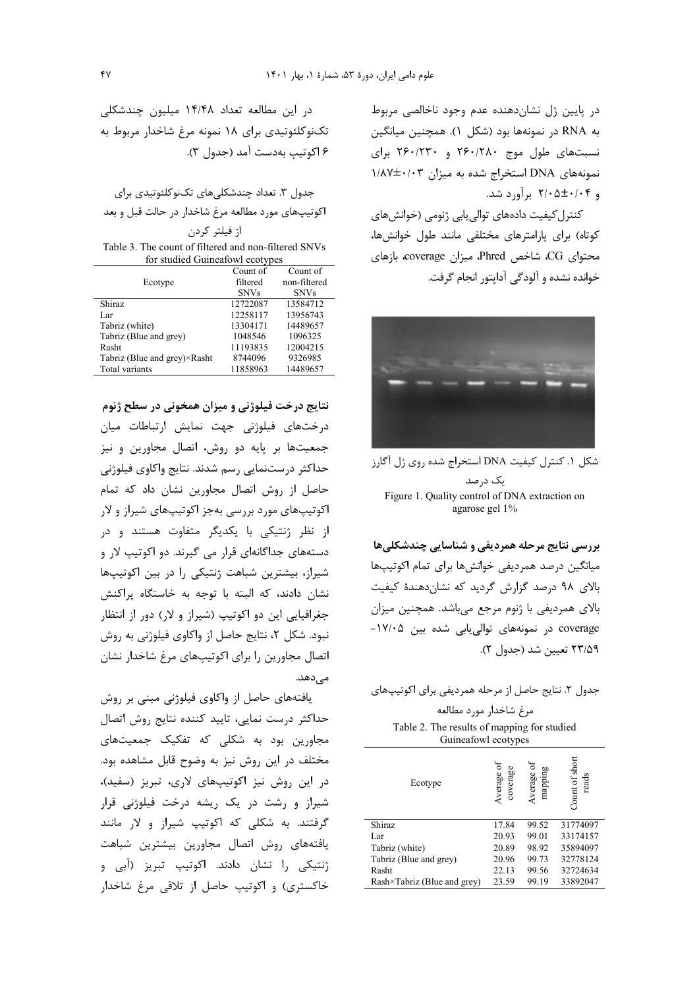در پایین ژل نشاندهنده عدم وجود ناخالصی مربوط به RNA در نمونهها بود (شكل ۱). همچنين ميانگين نسبتهای طول موج ۲۶۰/۲۸۰ و ۲۶۰/۲۳۰ برای نمونههای DNA استخراج شده به میزان ۱/۸۷±۰/۰۳ و ۲/۰۵±۰/۰۴ برآورد شد.

كنترل كيفيت دادههاى توالى يابى ژنومى (خوانشهاى كوتاه) براي يارامترهاي مختلفي مانند طول خوانش ها، محتواي CG، شاخص Phred، ميزان coverage، بازهاي خوانده نشده و آلودگی آدایتو, انجام گرفت.



شكل ۱. كنترل كيفيت DNA استخراج شده روى ژل آگارز يک درصد Figure 1. Quality control of DNA extraction on agarose gel 1%

بررسي نتايج مرحله همرديفي و شناسايي چندشكلي ها میانگین درصد همردیفی خوانشها برای تمام اکوتیپها بالای ۹۸ درصد گزارش گردید که نشاندهندهٔ کیفیت بالای همردیفی با ژنوم مرجع میباشد. همچنین میزان coverage در نمونههای توالی یابی شده بین ۱۷/۰۵-٢٣/۵٩ تعيين شد (جدول ٢).

| جدول ۲. نتایج حاصل از مرحله همردیفی برای اکوتیپهای |
|----------------------------------------------------|
| مرغ شاخدار مورد مطالعه                             |

Table 2. The results of mapping for studied Guineafowl ecotypes

| Ecotype                             | coverage<br>Average | 50<br>mappin<br>Average | of short<br>read<br>Count |
|-------------------------------------|---------------------|-------------------------|---------------------------|
| Shiraz                              | 17.84               | 99.52                   | 31774097                  |
| Lar                                 | 20.93               | 99.01                   | 33174157                  |
| Tabriz (white)                      | 20.89               | 98.92                   | 35894097                  |
| Tabriz (Blue and grey)              | 20.96               | 99.73                   | 32778124                  |
| Rasht                               | 22.13               | 99.56                   | 32724634                  |
| $Rash\times Tabriz$ (Blue and grey) | 23.59               | 99.19                   | 33892047                  |
|                                     |                     |                         |                           |

در این مطالعه تعداد ۱۴/۴۸ میلیون چندشکلی تکنوکلئوتیدی برای ۱۸ نمونه مرغ شاخدار مربوط به ۶ اکوتیپ بهدست آمد (جدول ۳).

جدول ۳. تعداد چندشکلیهای تکنوکلئوتیدی برای اکوتیپهای مورد مطالعه مرغ شاخدار در حالت قبل و بعد از فيلتر كردن

Table 3. The count of filtered and non-filtered SNVs for studied Guineafowl ecotypes

|                              | Count of    | Count of     |
|------------------------------|-------------|--------------|
| Ecotype                      | filtered    | non-filtered |
|                              | <b>SNVs</b> | <b>SNVs</b>  |
| <b>Shiraz</b>                | 12722087    | 13584712     |
| Lar                          | 12258117    | 13956743     |
| Tabriz (white)               | 13304171    | 14489657     |
| Tabriz (Blue and grey)       | 1048546     | 1096325      |
| Rasht                        | 11193835    | 12004215     |
| Tabriz (Blue and grey)×Rasht | 8744096     | 9326985      |
| Total variants               | 11858963    | 14489657     |

نتایج درخت فیلوژنی و میزان همخونی در سطح ژنوم درختهای فیلوژنی جهت نمایش ارتباطات میان جمعیتها بر پایه دو روش، اتصال مجاورین و نیز حداکثر درستنمایی رسم شدند. نتایج واکاوی فیلوژنی حاصل از روش اتصال مجاورين نشان داد كه تمام اکوتیپهای مورد بررسی بهجز اکوتیپهای شیراز و لار از نظر ژنتیکی با یکدیگر متفاوت هستند و در دستههای جداگانهای قرار می گیرند. دو اکوتیپ لار و شیراز، بیشترین شباهت ژنتیکی را در بین اکوتیپها نشان دادند، كه البته با توجه به خاستگاه پراكنش جغرافیایی این دو اکوتیپ (شیراز و لار) دور از انتظار نبود. شکل ۲، نتایج حاصل از واکاوی فیلوژنی به روش اتصال مجاورین را برای اکوتیپهای مرغ شاخدار نشان مے ردھد.

یافتههای حاصل از واکاوی فیلوژنی مبنی بر روش حداكثر درست نمايي، تاييد كننده نتايج روش اتصال مجاورین بود به شکلی که تفکیک جمعیتهای مختلف در این روش نیز به وضوح قابل مشاهده بود. در این روش نیز اکوتیپهای لاری، تبریز (سفید)، شیراز و رشت در یک ریشه درخت فیلوژنی قرار گرفتند. به شکلی که اکوتیپ شیراز و لار مانند یافتههای روش اتصال مجاورین بیشترین شباهت ژنتیکی را نشان دادند. اکوتیپ تبریز (آبی و خاکستری) و اکوتیپ حاصل از تلاقی مرغ شاخدار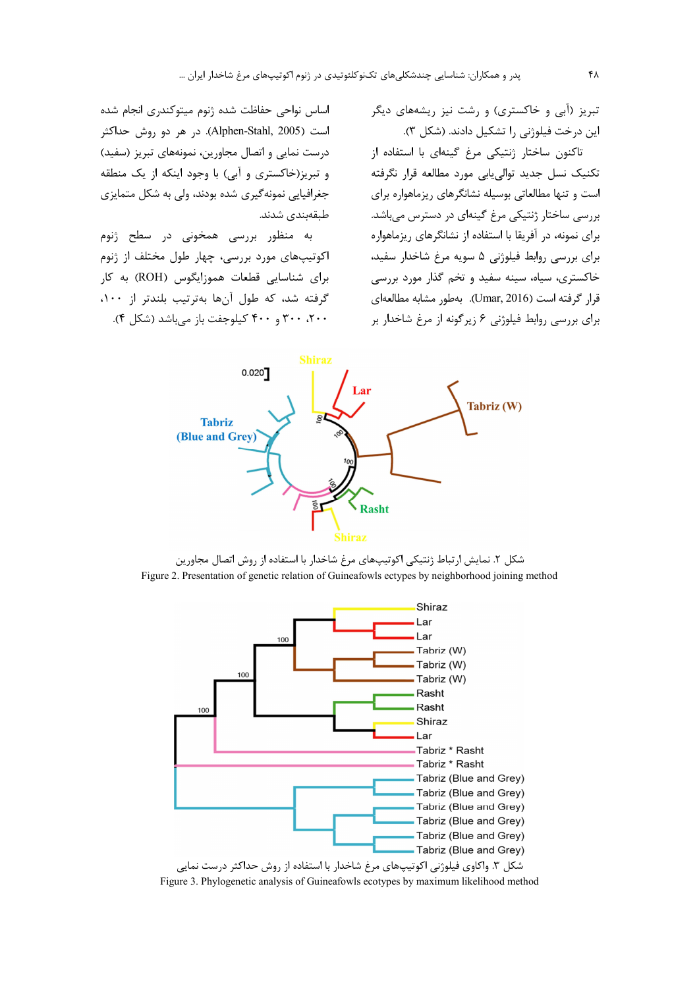تبریز (آبی و خاکستری) و رشت نیز ریشههای دیگر ین درخت فیلوژنی را تشکیل دادند. (شکل ۳).

تاکنون ساختا<sub>ر ژ</sub>نتیکی مرغ گینهای با استفاده از تكنيك نسل جديد توالي يابي مورد مطالعه قرار نگرفته است و تنها مطالعاتی بوسیله نشانگرهای ریزماهواره برای بررسی ساختار ژنتیکی مرغ گینهای در دسترس میباشد. برای نمونه، در آفریقا با استفاده از نشانگرهای ریزماهواره برای بررسی روابط فیلوژنی ۵ سویه مرغ شاخدار سفید، خاکستری، سیاه، سینه سفید و تخم گذار مورد بررسی قرار گرفته است (Umar, 2016). بهطور مشابه مطالعهای برای بررسی روابط فیلوژنی ۶ زیرگونه از مرغ شاخدار بر

اساس نواحی حفاظت شده ژنوم میتوکندری انجام شده است (Alphen-Stahl, 2005). در هر دو روش حداکثر درست نمایی و اتصال مجاورین، نمونههای تبریز (سفید) و تبریز(خاکستری و آبی) با وجود اینکه از یک منطقه جغرافیایی نمونهگیری شده بودند، ولی به شکل متمایزی طبقەبندى شدند.

به منظور بررسی همخونی در سطح ژنوم اکوتیپهای مورد بررسی، چهار طول مختلف از ژنوم برای شناسایی قطعات هموزایگوس (ROH) به کار گرفته شد، که طول آنها بهترتیب بلندتر از ۱۰۰، ۲۰۰، ۳۰۰ و ۴۰۰ کیلوجفت باز میباشد (شکل ۴).



شکل ۲. نمایش ارتباط ژنتیکی اکوتیپهای مرغ شاخدار با استفاده از روش اتصال مجاورین Figure 2. Presentation of genetic relation of Guineafowls ectypes by neighborhood joining method



Figure 3. Phylogenetic analysis of Guineafowls ecotypes by maximum likelihood method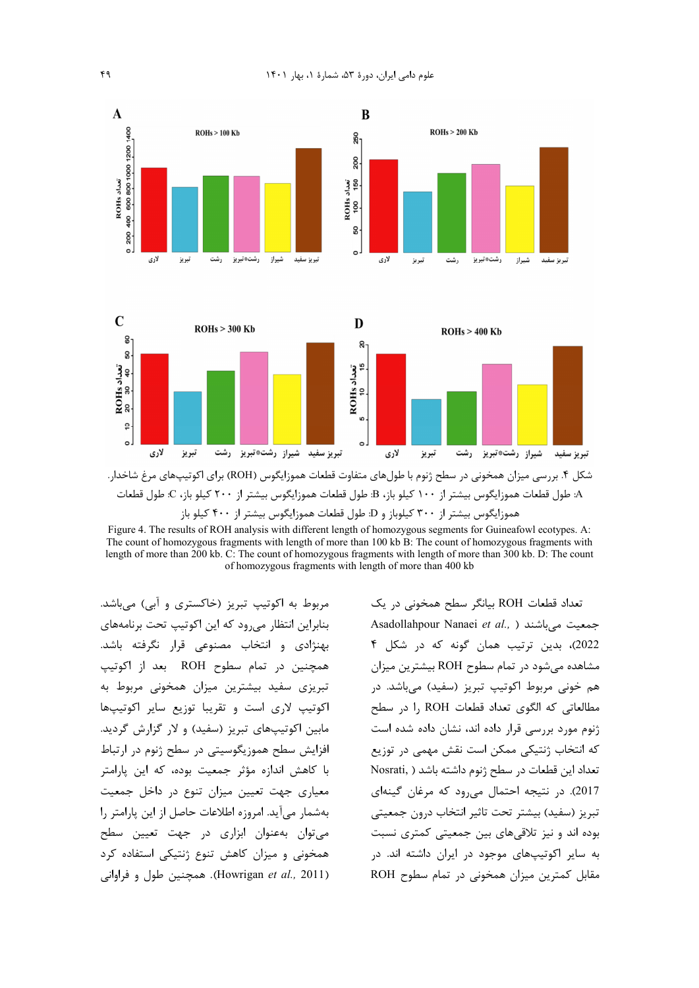





شکل ۴. بررسی میزان همخونی در سطح ژنوم با طولهای متفاوت قطعات هموزایگوس (ROH) برای اکوتیپهای مرغ شاخدار. A: طول قطعات هموزايگوس بيشتر از ١٠٠ كيلو باز، B: طول قطعات هموزايگوس بيشتر از ٢٠٠ كيلو باز، C: طول قطعات هموزایگوس بیشتر از ۳۰۰ کیلوباز و D: طول قطعات هموزایگوس بیشتر از ۴۰۰ کیلو باز

Figure 4. The results of ROH analysis with different length of homozygous segments for Guineafowl ecotypes. A: The count of homozygous fragments with length of more than 100 kb B: The count of homozygous fragments with length of more than 200 kb. C: The count of homozygous fragments with length of more than 300 kb. D: The count of homozygous fragments with length of more than 400 kb

مربوط به اکوتیپ تبریز (خاکستری و آبی) میباشد. بنابراین انتظار می رود که این اکوتیپ تحت برنامههای بهنژادی و انتخاب مصنوعی قرار نگرفته باشد. همچنین در تمام سطوح ROH بعد از اکوتیپ تبریزی سفید بیشترین میزان همخونی مربوط به اکوتیپ لاری است و تقریبا توزیع سایر اکوتیپها مابین اکوتیپهای تبریز (سفید) و لار گزارش گردید. افزایش سطح هموزیگوسیتی در سطح ژنوم در ارتباط با کاهش اندازه مؤثر جمعیت بوده، که این پارامتر معیاری جهت تعیین میزان تنوع در داخل جمعیت بهشمار می آید. امروزه اطلاعات حاصل از این پارامتر را میتوان بهعنوان ابزاری در جهت تعیین سطح همخونی و میزان کاهش تنوع ژنتیکی استفاده کرد (Howrigan et al., 2011). همچنین طول و فراوانی تعداد قطعات ROH بیانگر سطح همخونی در یک Asadollahpour Nanaei et al., ) جمعیت میباشند 2022)، بدین ترتیب همان گونه که در شکل ۴ مشاهده می شود در تمام سطوح ROH بیشترین میزان هم خونی مربوط اکوتیپ تبریز (سفید) میباشد. در مطالعاتی که الگوی تعداد قطعات ROH را در سطح ژنوم مورد بررسی قرار داده اند، نشان داده شده است که انتخاب ژنتیکی ممکن است نقش مهمی در توزیع تعداد این قطعات در سطح ژنوم داشته باشد ( Nosrati, 2017). در نتیجه احتمال می رود که مرغان گینهای تبريز (سفيد) بيشتر تحت تاثير انتخاب درون جمعيتي بوده اند و نیز تلاقی های بین جمعیتی کمتری نسبت به سایر اکوتیپهای موجود در ایران داشته اند. در مقابل کمترین میزان همخونی در تمام سطوح ROH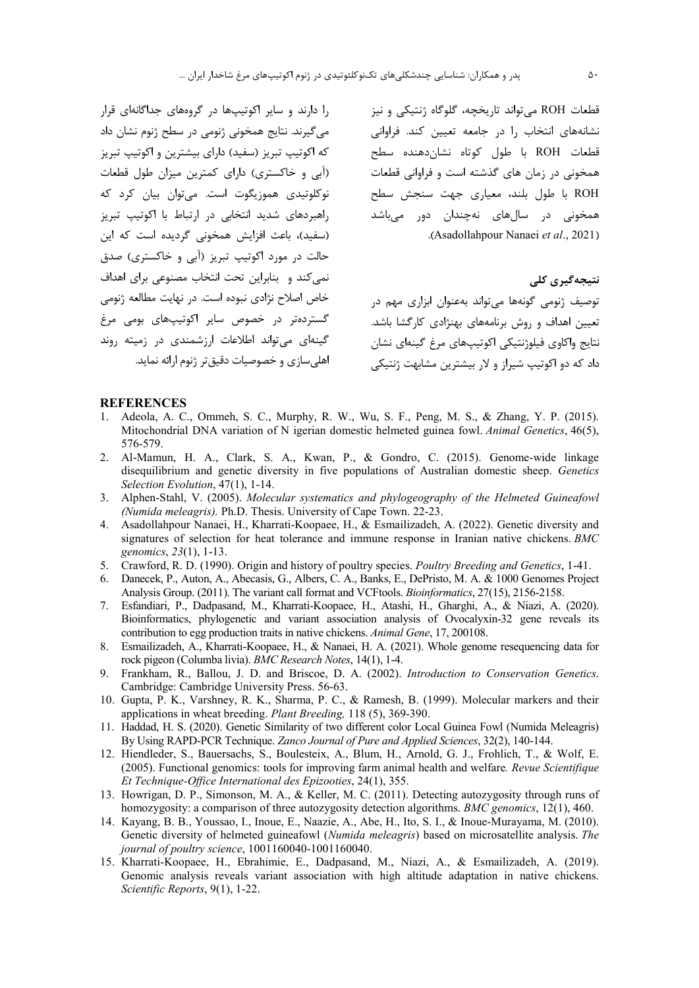را دارند و سایر اکوتیپها در گروههای جداگانهای قرار می گیرند. نتایج همخونی ژنومی در سطح ژنوم نشان داد که اکوتیپ تبریز (سفید) دارای بیشترین و اکوتیپ تبریز (آبی و خاکستری) دارای کمترین میزان طول قطعات نوکلوتيدي هموزيگوت است. مي¢وان بيان کړد که راهبردهای شدید انتخابی در ارتباط با اکوتیپ تبریز (سفید)، باعث افزایش همخونی گردیده است که این حالت در مورد اکوتیپ تبریز (آبی و خاکستری) صدق نمی کند و بنابراین تحت انتخاب مصنوعی برای اهداف خاص اصلاح نژادی نبوده است. در نهایت مطالعه ژنومی گستردهتر در خصوص سایر اکوتیپهای بومی مرغ گینهای میتواند اطلاعات ارزشمندی در زمیته روند اهلی سازی و خصوصیات دقیق تر ژنوم ارائه نماید.

قطعات ROH مي تواند تاريخچه، گلوگاه ژنتيكي و نيز نشانههای انتخاب را در جامعه تعیین کند. فراوانی قطعات ROH با طول كوتاه نشاندهنده سطح همخونی در زمان های گذشته است و فراوانی قطعات ROH با طول بلند، معیاری جهت سنجش سطح همخونی در سالهای نهچندان دور میباشد .(Asadollahpour Nanaei et al., 2021)

نتیجەگیری کلی

توصیف ژنومی گونهها می تواند بهعنوان ابزاری مهم در تعیین اهداف و روش برنامههای بهنژادی کارگشا باشد. نتايج واكاوى فيلوژنتيكي اكوتيپهاي مرغ گينهاي نشان داد که دو اکوتیپ شیراز و لار بیشترین مشابهت ژنتیکی

#### **REFERENCES**

- 1. Adeola, A. C., Ommeh, S. C., Murphy, R. W., Wu, S. F., Peng, M. S., & Zhang, Y. P. (2015). Mitochondrial DNA variation of N igerian domestic helmeted guinea fowl. Animal Genetics, 46(5), 576-579.
- 2. Al-Mamun, H. A., Clark, S. A., Kwan, P., & Gondro, C. (2015). Genome-wide linkage disequilibrium and genetic diversity in five populations of Australian domestic sheep. Genetics Selection Evolution, 47(1), 1-14.
- 3. Alphen-Stahl, V. (2005). Molecular systematics and phylogeography of the Helmeted Guineafowl (Numida meleagris). Ph.D. Thesis. University of Cape Town. 22-23.
- 4. Asadollahpour Nanaei, H., Kharrati-Koopaee, H., & Esmailizadeh, A. (2022). Genetic diversity and signatures of selection for heat tolerance and immune response in Iranian native chickens. BMC genomics, 23(1), 1-13.
- 5. Crawford, R. D. (1990). Origin and history of poultry species. Poultry Breeding and Genetics, 1-41.
- 6. Danecek, P., Auton, A., Abecasis, G., Albers, C. A., Banks, E., DePristo, M. A. & 1000 Genomes Project Analysis Group. (2011). The variant call format and VCF tools. *Bioinformatics*, 27(15), 2156-2158.
- 7. Esfandiari, P., Dadpasand, M., Kharrati-Koopaee, H., Atashi, H., Gharghi, A., & Niazi, A. (2020). Bioinformatics, phylogenetic and variant association analysis of Ovocalyxin-32 gene reveals its contribution to egg production traits in native chickens. Animal Gene, 17, 200108.
- 8. Esmailizadeh, A., Kharrati-Koopaee, H., & Nanaei, H. A. (2021). Whole genome resequencing data for rock pigeon (Columba livia). BMC Research Notes, 14(1), 1-4.
- 9. Frankham, R., Ballou, J. D. and Briscoe, D. A. (2002). Introduction to Conservation Genetics. Cambridge: Cambridge University Press. 56-63.
- 10. Gupta, P. K., Varshney, R. K., Sharma, P. C., & Ramesh, B. (1999). Molecular markers and their applications in wheat breeding. *Plant Breeding*, 118 (5), 369-390.
- 11. Haddad, H. S. (2020). Genetic Similarity of two different color Local Guinea Fowl (Numida Meleagris) By Using RAPD-PCR Technique. Zanco Journal of Pure and Applied Sciences, 32(2), 140-144.
- 12. Hiendleder, S., Bauersachs, S., Boulesteix, A., Blum, H., Arnold, G. J., Frohlich, T., & Wolf, E. (2005). Functional genomics: tools for improving farm animal health and welfare. Revue Scientifique Et Technique-Office International des Epizooties, 24(1), 355.
- 13. Howrigan, D. P., Simonson, M. A., & Keller, M. C. (2011). Detecting autozygosity through runs of homozygosity: a comparison of three autozygosity detection algorithms. BMC genomics, 12(1), 460.
- 14. Kayang, B. B., Youssao, I., Inoue, E., Naazie, A., Abe, H., Ito, S. I., & Inoue-Murayama, M. (2010). Genetic diversity of helmeted guineafowl (Numida meleagris) based on microsatellite analysis. The journal of poultry science, 1001160040-1001160040.
- 15. Kharrati-Koopaee, H., Ebrahimie, E., Dadpasand, M., Niazi, A., & Esmailizadeh, A. (2019). Genomic analysis reveals variant association with high altitude adaptation in native chickens. Scientific Reports, 9(1), 1-22.